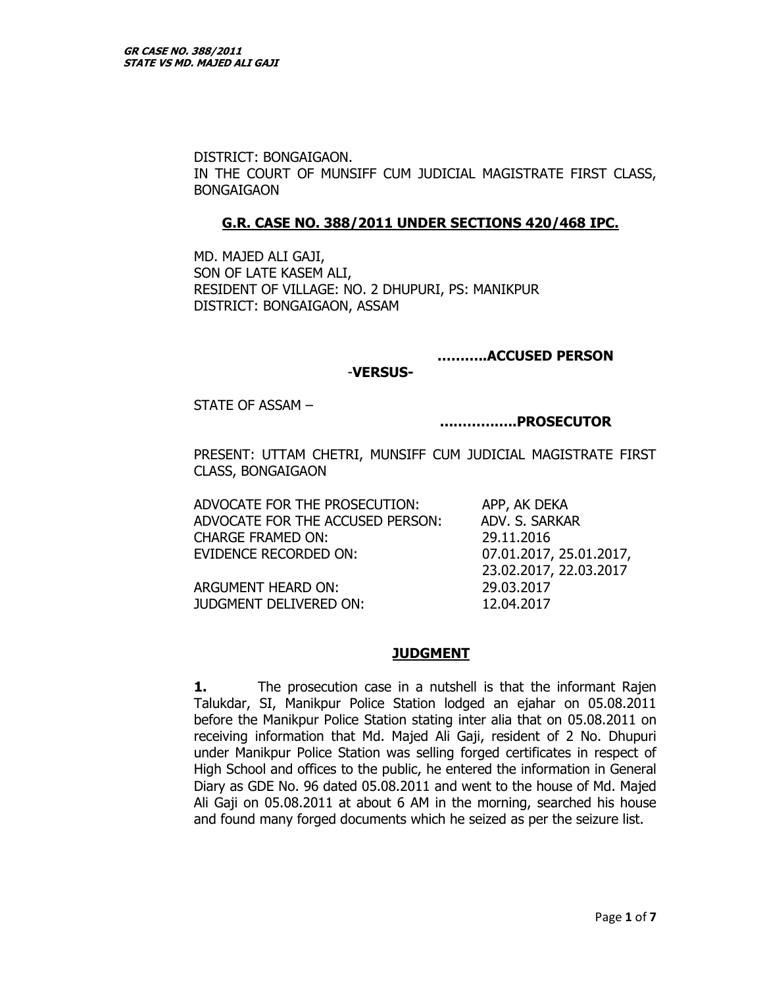DISTRICT: BONGAIGAON. IN THE COURT OF MUNSIFF CUM JUDICIAL MAGISTRATE FIRST CLASS, BONGAIGAON

#### **G.R. CASE NO. 388/2011 UNDER SECTIONS 420/468 IPC.**

MD. MAJED ALI GAJI, SON OF LATE KASEM ALI, RESIDENT OF VILLAGE: NO. 2 DHUPURI, PS: MANIKPUR DISTRICT: BONGAIGAON, ASSAM

#### **………..ACCUSED PERSON**

#### -**VERSUS-**

STATE OF ASSAM –

**……………..PROSECUTOR** 

PRESENT: UTTAM CHETRI, MUNSIFF CUM JUDICIAL MAGISTRATE FIRST CLASS, BONGAIGAON

ADVOCATE FOR THE PROSECUTION: APP, AK DEKA ADVOCATE FOR THE ACCUSED PERSON: ADV. S. SARKAR CHARGE FRAMED ON: 29.11.2016 EVIDENCE RECORDED ON: 07.01.2017, 25.01.2017,

23.02.2017, 22.03.2017

ARGUMENT HEARD ON: 29.03.2017 JUDGMENT DELIVERED ON: 12.04.2017

### **JUDGMENT**

**1.** The prosecution case in a nutshell is that the informant Rajen Talukdar, SI, Manikpur Police Station lodged an ejahar on 05.08.2011 before the Manikpur Police Station stating inter alia that on 05.08.2011 on receiving information that Md. Majed Ali Gaji, resident of 2 No. Dhupuri under Manikpur Police Station was selling forged certificates in respect of High School and offices to the public, he entered the information in General Diary as GDE No. 96 dated 05.08.2011 and went to the house of Md. Majed Ali Gaji on 05.08.2011 at about 6 AM in the morning, searched his house and found many forged documents which he seized as per the seizure list.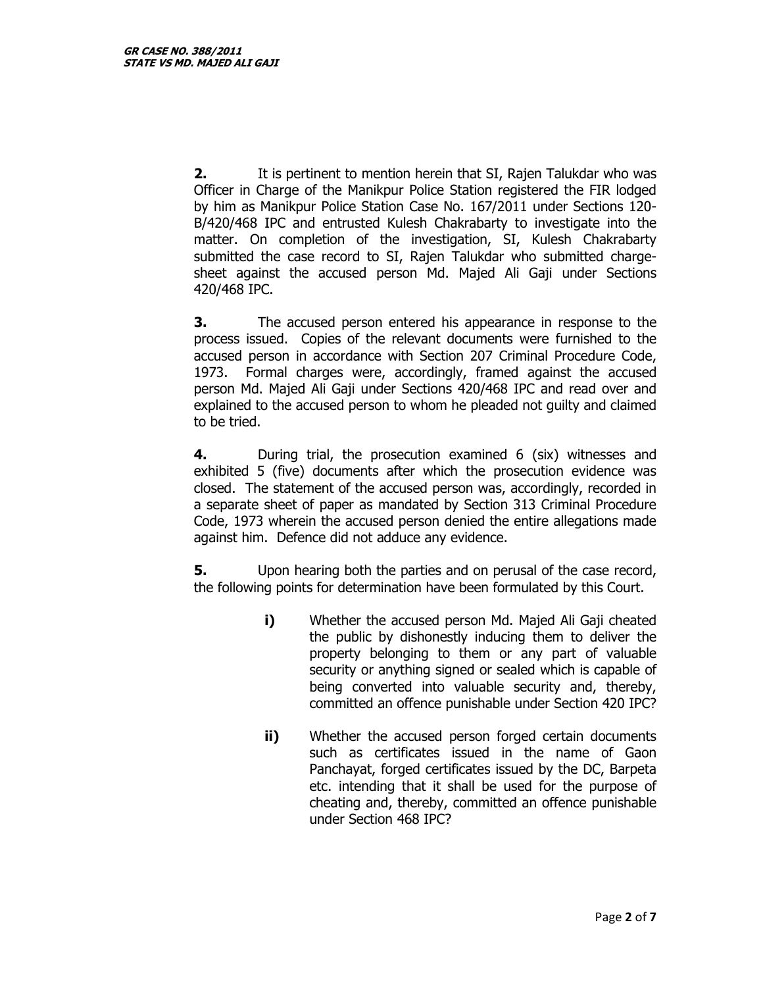**2.** It is pertinent to mention herein that SI, Rajen Talukdar who was Officer in Charge of the Manikpur Police Station registered the FIR lodged by him as Manikpur Police Station Case No. 167/2011 under Sections 120- B/420/468 IPC and entrusted Kulesh Chakrabarty to investigate into the matter. On completion of the investigation, SI, Kulesh Chakrabarty submitted the case record to SI, Rajen Talukdar who submitted chargesheet against the accused person Md. Majed Ali Gaji under Sections 420/468 IPC.

**3.** The accused person entered his appearance in response to the process issued. Copies of the relevant documents were furnished to the accused person in accordance with Section 207 Criminal Procedure Code, 1973. Formal charges were, accordingly, framed against the accused person Md. Majed Ali Gaji under Sections 420/468 IPC and read over and explained to the accused person to whom he pleaded not guilty and claimed to be tried.

**4.** During trial, the prosecution examined 6 (six) witnesses and exhibited 5 (five) documents after which the prosecution evidence was closed. The statement of the accused person was, accordingly, recorded in a separate sheet of paper as mandated by Section 313 Criminal Procedure Code, 1973 wherein the accused person denied the entire allegations made against him. Defence did not adduce any evidence.

**5.** Upon hearing both the parties and on perusal of the case record, the following points for determination have been formulated by this Court.

- **i)** Whether the accused person Md. Majed Ali Gaji cheated the public by dishonestly inducing them to deliver the property belonging to them or any part of valuable security or anything signed or sealed which is capable of being converted into valuable security and, thereby, committed an offence punishable under Section 420 IPC?
- **ii)** Whether the accused person forged certain documents such as certificates issued in the name of Gaon Panchayat, forged certificates issued by the DC, Barpeta etc. intending that it shall be used for the purpose of cheating and, thereby, committed an offence punishable under Section 468 IPC?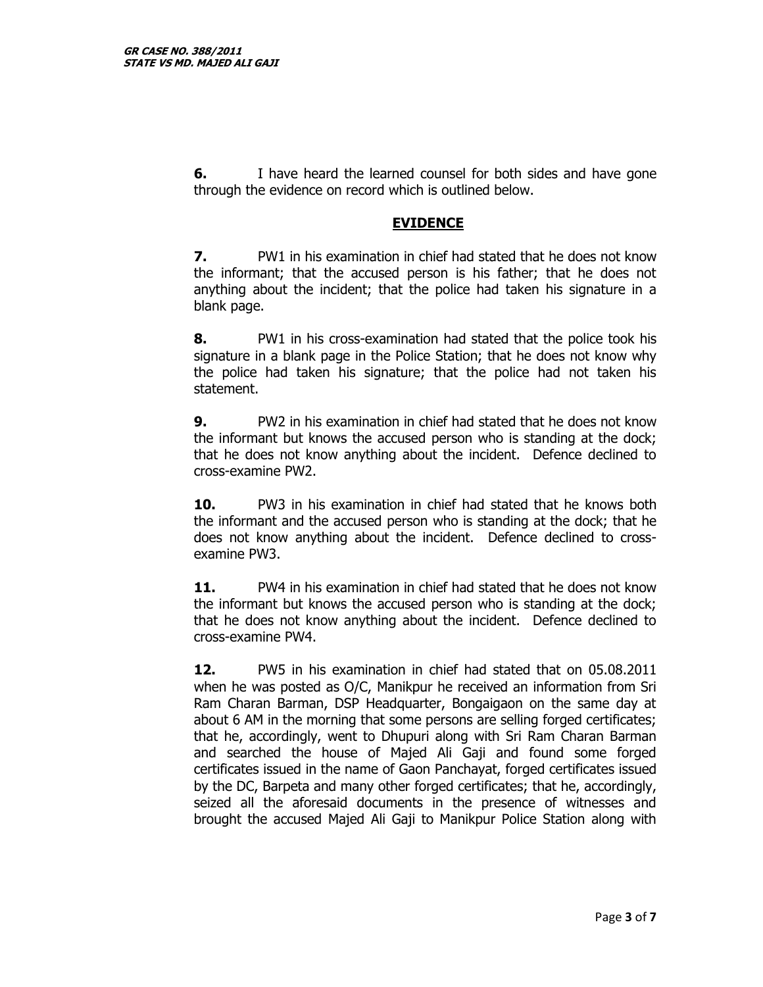**6.** I have heard the learned counsel for both sides and have gone through the evidence on record which is outlined below.

# **EVIDENCE**

**7.** PW1 in his examination in chief had stated that he does not know the informant; that the accused person is his father; that he does not anything about the incident; that the police had taken his signature in a blank page.

**8.** PW1 in his cross-examination had stated that the police took his signature in a blank page in the Police Station; that he does not know why the police had taken his signature; that the police had not taken his statement.

**9.** PW2 in his examination in chief had stated that he does not know the informant but knows the accused person who is standing at the dock; that he does not know anything about the incident. Defence declined to cross-examine PW2.

**10.** PW3 in his examination in chief had stated that he knows both the informant and the accused person who is standing at the dock; that he does not know anything about the incident. Defence declined to crossexamine PW3.

**11.** PW4 in his examination in chief had stated that he does not know the informant but knows the accused person who is standing at the dock; that he does not know anything about the incident. Defence declined to cross-examine PW4.

**12.** PW5 in his examination in chief had stated that on 05.08.2011 when he was posted as O/C, Manikpur he received an information from Sri Ram Charan Barman, DSP Headquarter, Bongaigaon on the same day at about 6 AM in the morning that some persons are selling forged certificates; that he, accordingly, went to Dhupuri along with Sri Ram Charan Barman and searched the house of Majed Ali Gaji and found some forged certificates issued in the name of Gaon Panchayat, forged certificates issued by the DC, Barpeta and many other forged certificates; that he, accordingly, seized all the aforesaid documents in the presence of witnesses and brought the accused Majed Ali Gaji to Manikpur Police Station along with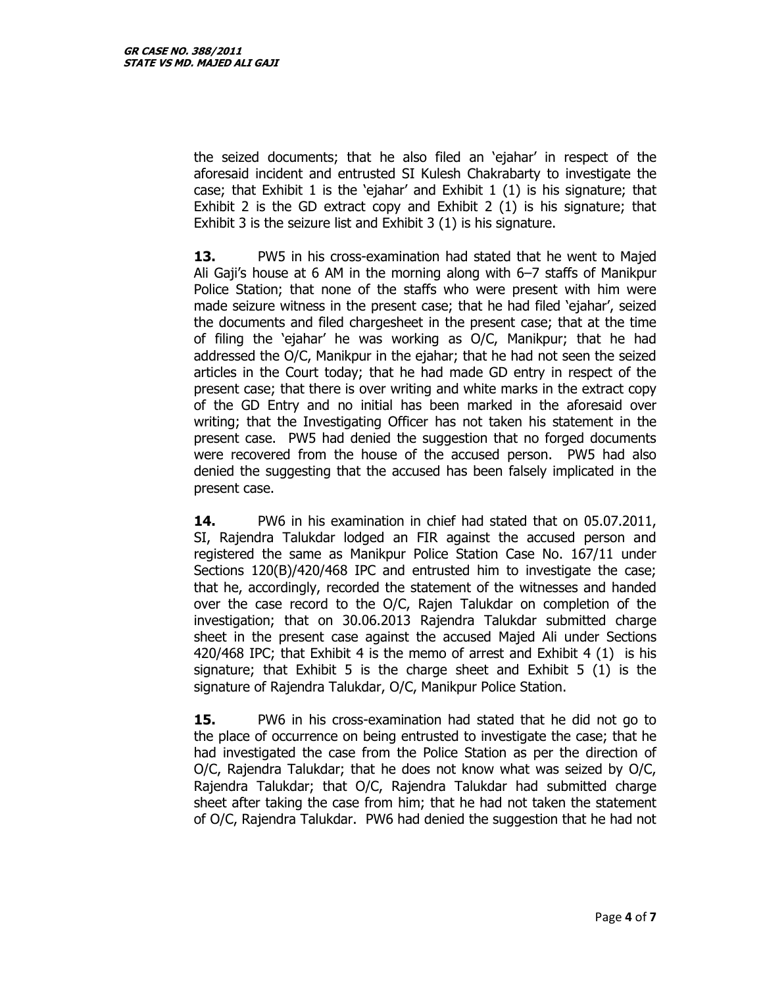the seized documents; that he also filed an 'ejahar' in respect of the aforesaid incident and entrusted SI Kulesh Chakrabarty to investigate the case; that Exhibit 1 is the 'ejahar' and Exhibit 1 (1) is his signature; that Exhibit 2 is the GD extract copy and Exhibit 2 (1) is his signature; that Exhibit 3 is the seizure list and Exhibit 3 (1) is his signature.

**13.** PW5 in his cross-examination had stated that he went to Majed Ali Gaji's house at 6 AM in the morning along with 6–7 staffs of Manikpur Police Station; that none of the staffs who were present with him were made seizure witness in the present case; that he had filed 'ejahar', seized the documents and filed chargesheet in the present case; that at the time of filing the 'ejahar' he was working as O/C, Manikpur; that he had addressed the O/C, Manikpur in the ejahar; that he had not seen the seized articles in the Court today; that he had made GD entry in respect of the present case; that there is over writing and white marks in the extract copy of the GD Entry and no initial has been marked in the aforesaid over writing; that the Investigating Officer has not taken his statement in the present case. PW5 had denied the suggestion that no forged documents were recovered from the house of the accused person. PW5 had also denied the suggesting that the accused has been falsely implicated in the present case.

**14.** PW6 in his examination in chief had stated that on 05.07.2011, SI, Rajendra Talukdar lodged an FIR against the accused person and registered the same as Manikpur Police Station Case No. 167/11 under Sections 120(B)/420/468 IPC and entrusted him to investigate the case; that he, accordingly, recorded the statement of the witnesses and handed over the case record to the O/C, Rajen Talukdar on completion of the investigation; that on 30.06.2013 Rajendra Talukdar submitted charge sheet in the present case against the accused Majed Ali under Sections 420/468 IPC; that Exhibit 4 is the memo of arrest and Exhibit 4 (1) is his signature; that Exhibit 5 is the charge sheet and Exhibit 5 (1) is the signature of Rajendra Talukdar, O/C, Manikpur Police Station.

**15.** PW6 in his cross-examination had stated that he did not go to the place of occurrence on being entrusted to investigate the case; that he had investigated the case from the Police Station as per the direction of O/C, Rajendra Talukdar; that he does not know what was seized by O/C, Rajendra Talukdar; that O/C, Rajendra Talukdar had submitted charge sheet after taking the case from him; that he had not taken the statement of O/C, Rajendra Talukdar. PW6 had denied the suggestion that he had not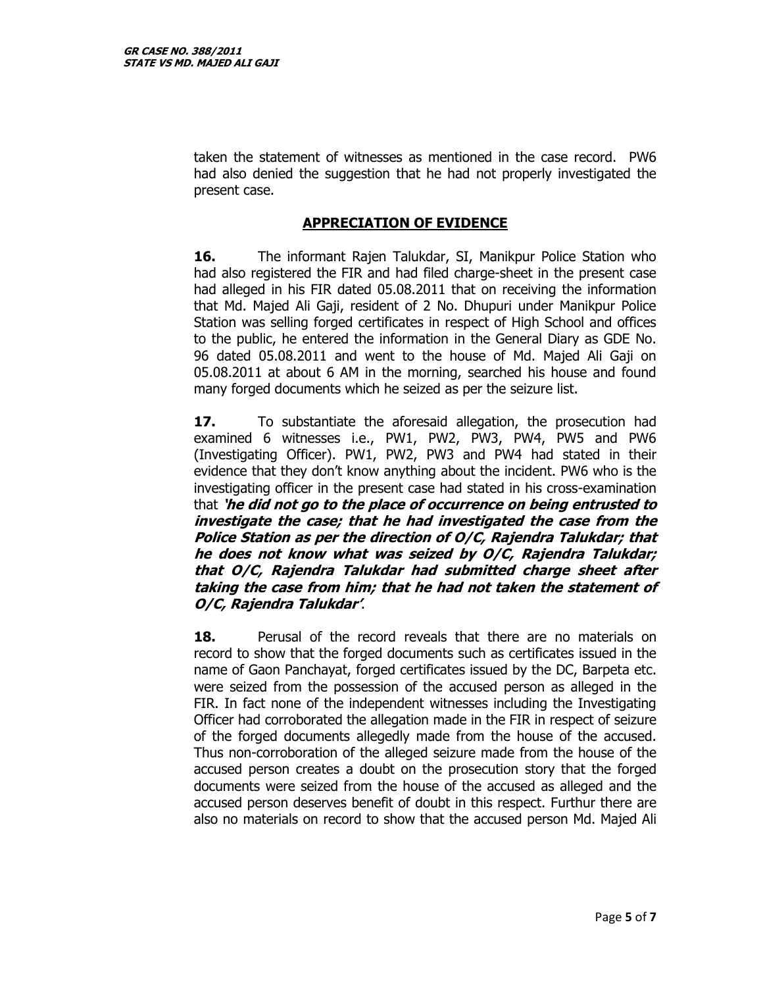taken the statement of witnesses as mentioned in the case record. PW6 had also denied the suggestion that he had not properly investigated the present case.

# **APPRECIATION OF EVIDENCE**

**16.** The informant Rajen Talukdar, SI, Manikpur Police Station who had also registered the FIR and had filed charge-sheet in the present case had alleged in his FIR dated 05.08.2011 that on receiving the information that Md. Majed Ali Gaji, resident of 2 No. Dhupuri under Manikpur Police Station was selling forged certificates in respect of High School and offices to the public, he entered the information in the General Diary as GDE No. 96 dated 05.08.2011 and went to the house of Md. Majed Ali Gaji on 05.08.2011 at about 6 AM in the morning, searched his house and found many forged documents which he seized as per the seizure list.

**17.** To substantiate the aforesaid allegation, the prosecution had examined 6 witnesses i.e., PW1, PW2, PW3, PW4, PW5 and PW6 (Investigating Officer). PW1, PW2, PW3 and PW4 had stated in their evidence that they don't know anything about the incident. PW6 who is the investigating officer in the present case had stated in his cross-examination that **'he did not go to the place of occurrence on being entrusted to investigate the case; that he had investigated the case from the Police Station as per the direction of O/C, Rajendra Talukdar; that he does not know what was seized by O/C, Rajendra Talukdar; that O/C, Rajendra Talukdar had submitted charge sheet after taking the case from him; that he had not taken the statement of O/C, Rajendra Talukdar'**.

**18.** Perusal of the record reveals that there are no materials on record to show that the forged documents such as certificates issued in the name of Gaon Panchayat, forged certificates issued by the DC, Barpeta etc. were seized from the possession of the accused person as alleged in the FIR. In fact none of the independent witnesses including the Investigating Officer had corroborated the allegation made in the FIR in respect of seizure of the forged documents allegedly made from the house of the accused. Thus non-corroboration of the alleged seizure made from the house of the accused person creates a doubt on the prosecution story that the forged documents were seized from the house of the accused as alleged and the accused person deserves benefit of doubt in this respect. Furthur there are also no materials on record to show that the accused person Md. Majed Ali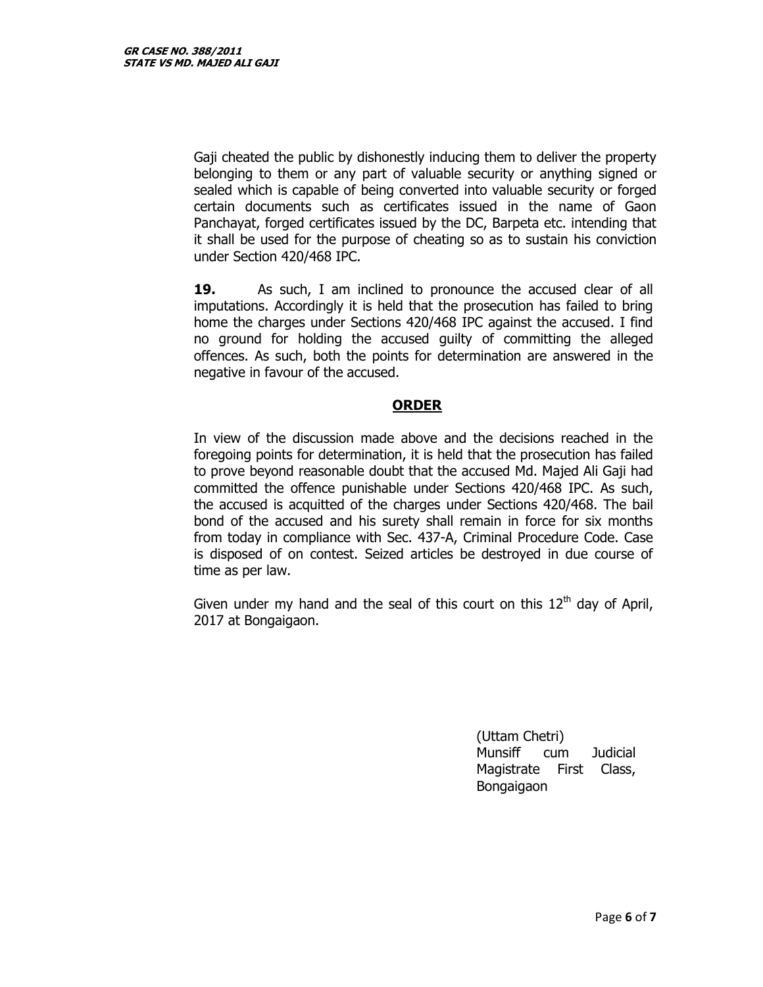Gaji cheated the public by dishonestly inducing them to deliver the property belonging to them or any part of valuable security or anything signed or sealed which is capable of being converted into valuable security or forged certain documents such as certificates issued in the name of Gaon Panchayat, forged certificates issued by the DC, Barpeta etc. intending that it shall be used for the purpose of cheating so as to sustain his conviction under Section 420/468 IPC.

**19.** As such, I am inclined to pronounce the accused clear of all imputations. Accordingly it is held that the prosecution has failed to bring home the charges under Sections 420/468 IPC against the accused. I find no ground for holding the accused guilty of committing the alleged offences. As such, both the points for determination are answered in the negative in favour of the accused.

# **ORDER**

In view of the discussion made above and the decisions reached in the foregoing points for determination, it is held that the prosecution has failed to prove beyond reasonable doubt that the accused Md. Majed Ali Gaji had committed the offence punishable under Sections 420/468 IPC. As such, the accused is acquitted of the charges under Sections 420/468. The bail bond of the accused and his surety shall remain in force for six months from today in compliance with Sec. 437-A, Criminal Procedure Code. Case is disposed of on contest. Seized articles be destroyed in due course of time as per law.

Given under my hand and the seal of this court on this  $12<sup>th</sup>$  day of April, 2017 at Bongaigaon.

> (Uttam Chetri) Munsiff cum Judicial Magistrate First Class, Bongaigaon